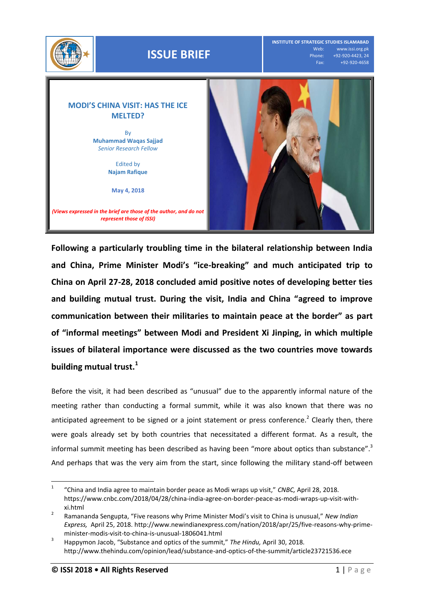

**Following a particularly troubling time in the bilateral relationship between India and China, Prime Minister Modi's "ice-breaking" and much anticipated trip to China on April 27-28, 2018 concluded amid positive notes of developing better ties and building mutual trust. During the visit, India and China "agreed to improve communication between their militaries to maintain peace at the border" as part of "informal meetings" between Modi and President Xi Jinping, in which multiple issues of bilateral importance were discussed as the two countries move towards building mutual trust. 1**

Before the visit, it had been described as "unusual" due to the apparently informal nature of the meeting rather than conducting a formal summit, while it was also known that there was no anticipated agreement to be signed or a joint statement or press conference.<sup>2</sup> Clearly then, there were goals already set by both countries that necessitated a different format. As a result, the informal summit meeting has been described as having been "more about optics than substance".<sup>3</sup> And perhaps that was the very aim from the start, since following the military stand-off between

 $\frac{1}{1}$ "China and India agree to maintain border peace as Modi wraps up visit," *CNBC,* April 28, 2018. [https://www.cnbc.com/2018/04/28/china-india-agree-on-border-peace-as-modi-wraps-up-visit-with](https://www.cnbc.com/2018/04/28/china-india-agree-on-border-peace-as-modi-wraps-up-visit-with-xi.html)[xi.html](https://www.cnbc.com/2018/04/28/china-india-agree-on-border-peace-as-modi-wraps-up-visit-with-xi.html)

<sup>2</sup> Ramananda Sengupta, "Five reasons why Prime Minister Modi's visit to China is unusual," *New Indian Express,* April 25, 2018[. http://www.newindianexpress.com/nation/2018/apr/25/five-reasons-why-prime](http://www.newindianexpress.com/nation/2018/apr/25/five-reasons-why-prime-minister-modis-visit-to-china-is-unusual-1806041.html)[minister-modis-visit-to-china-is-unusual-1806041.html](http://www.newindianexpress.com/nation/2018/apr/25/five-reasons-why-prime-minister-modis-visit-to-china-is-unusual-1806041.html)

<sup>3</sup> Happymon Jacob, "Substance and optics of the summit," *The Hindu,* April 30, 2018. <http://www.thehindu.com/opinion/lead/substance-and-optics-of-the-summit/article23721536.ece>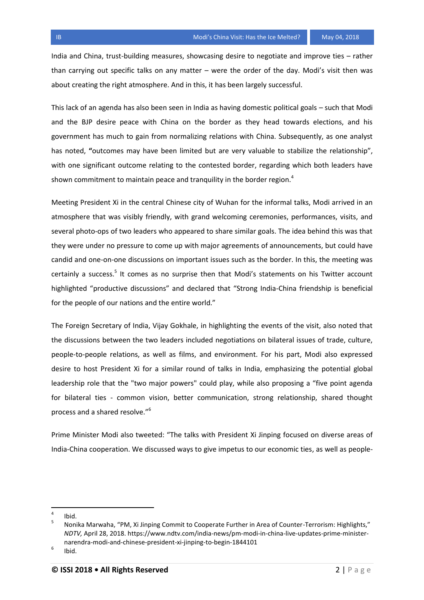India and China, trust-building measures, showcasing desire to negotiate and improve ties – rather than carrying out specific talks on any matter – were the order of the day. Modi's visit then was about creating the right atmosphere. And in this, it has been largely successful.

This lack of an agenda has also been seen in India as having domestic political goals – such that Modi and the BJP desire peace with China on the border as they head towards elections, and his government has much to gain from normalizing relations with China. Subsequently, as one analyst has noted, **"**outcomes may have been limited but are very valuable to stabilize the relationship", with one significant outcome relating to the contested border, regarding which both leaders have shown commitment to maintain peace and tranquility in the border region.<sup>4</sup>

Meeting President Xi in the central Chinese city of Wuhan for the informal talks, Modi arrived in an atmosphere that was visibly friendly, with grand welcoming ceremonies, performances, visits, and several photo-ops of two leaders who appeared to share similar goals. The idea behind this was that they were under no pressure to come up with major agreements of announcements, but could have candid and one-on-one discussions on important issues such as the border. In this, the meeting was certainly a success.<sup>5</sup> It comes as no surprise then that Modi's statements on his Twitter account highlighted "productive discussions" and declared that "Strong India-China friendship is beneficial for the people of our nations and the entire world."

The Foreign Secretary of India, Vijay Gokhale, in highlighting the events of the visit, also noted that the discussions between the two leaders included negotiations on bilateral issues of trade, culture, people-to-people relations, as well as films, and environment. For his part, Modi also expressed desire to host President Xi for a similar round of talks in India, emphasizing the potential global leadership role that the "two major powers" could play, while also proposing a "five point agenda for bilateral ties - common vision, better communication, strong relationship, shared thought process and a shared resolve."<sup>6</sup>

Prime Minister Modi also tweeted: "The talks with President Xi Jinping focused on diverse areas of India-China cooperation. We discussed ways to give impetus to our economic ties, as well as people-

l

<sup>4</sup> Ibid.

<sup>5</sup> Nonika Marwaha, "PM, Xi Jinping Commit to Cooperate Further in Area of Counter-Terrorism: Highlights," *NDTV,* April 28, 2018. [https://www.ndtv.com/india-news/pm-modi-in-china-live-updates-prime-minister](https://www.ndtv.com/india-news/pm-modi-in-china-live-updates-prime-minister-narendra-modi-and-chinese-president-xi-jinping-to-begin-1844101)[narendra-modi-and-chinese-president-xi-jinping-to-begin-1844101](https://www.ndtv.com/india-news/pm-modi-in-china-live-updates-prime-minister-narendra-modi-and-chinese-president-xi-jinping-to-begin-1844101)

<sup>6</sup> Ibid.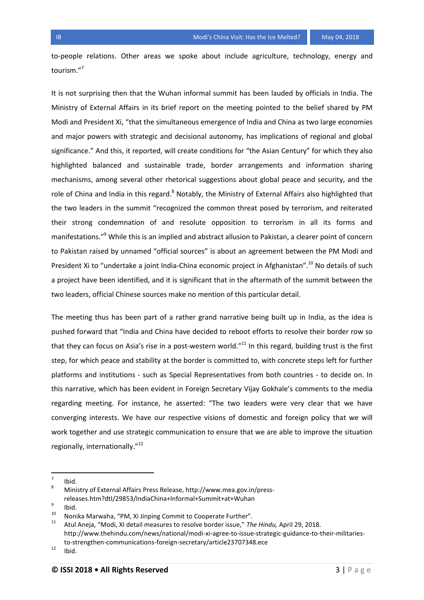to-people relations. Other areas we spoke about include agriculture, technology, energy and tourism."<sup>7</sup>

It is not surprising then that the Wuhan informal summit has been lauded by officials in India. The Ministry of External Affairs in its brief report on the meeting pointed to the belief shared by PM Modi and President Xi, "that the simultaneous emergence of India and China as two large economies and major powers with strategic and decisional autonomy, has implications of regional and global significance." And this, it reported, will create conditions for "the Asian Century" for which they also highlighted balanced and sustainable trade, border arrangements and information sharing mechanisms, among several other rhetorical suggestions about global peace and security, and the role of China and India in this regard.<sup>8</sup> Notably, the Ministry of External Affairs also highlighted that the two leaders in the summit "recognized the common threat posed by terrorism, and reiterated their strong condemnation of and resolute opposition to terrorism in all its forms and manifestations."<sup>9</sup> While this is an implied and abstract allusion to Pakistan, a clearer point of concern to Pakistan raised by unnamed "official sources" is about an agreement between the PM Modi and President Xi to "undertake a joint India-China economic project in Afghanistan".<sup>10</sup> No details of such a project have been identified, and it is significant that in the aftermath of the summit between the two leaders, official Chinese sources make no mention of this particular detail.

The meeting thus has been part of a rather grand narrative being built up in India, as the idea is pushed forward that "India and China have decided to reboot efforts to resolve their border row so that they can focus on Asia's rise in a post-western world." $11$  In this regard, building trust is the first step, for which peace and stability at the border is committed to, with concrete steps left for further platforms and institutions - such as Special Representatives from both countries - to decide on. In this narrative, which has been evident in Foreign Secretary Vijay Gokhale's comments to the media regarding meeting. For instance, he asserted: "The two leaders were very clear that we have converging interests. We have our respective visions of domestic and foreign policy that we will work together and use strategic communication to ensure that we are able to improve the situation regionally, internationally."<sup>12</sup>

<sup>—&</sup>lt;br>7 Ibid.

<sup>8</sup> Ministry of External Affairs Press Release[, http://www.mea.gov.in/press](http://www.mea.gov.in/press-releases.htm?dtl/29853/IndiaChina+Informal+Summit+at+Wuhan)[releases.htm?dtl/29853/IndiaChina+Informal+Summit+at+Wuhan](http://www.mea.gov.in/press-releases.htm?dtl/29853/IndiaChina+Informal+Summit+at+Wuhan)

<sup>9</sup> Ibid.

<sup>&</sup>lt;sup>10</sup> Nonika Marwaha, "PM, Xi Jinping Commit to Cooperate Further".<br><sup>11</sup> Atul Angle ("Modi. Yi datail measures to resolve bender jours", Th

<sup>11</sup> Atul Aneja, "Modi, XI detail measures to resolve border issue," *The Hindu,* April 29, 2018. [http://www.thehindu.com/news/national/modi-xi-agree-to-issue-strategic-guidance-to-their-militaries](http://www.thehindu.com/news/national/modi-xi-agree-to-issue-strategic-guidance-to-their-militaries-to-strengthen-communications-foreign-secretary/article23707348.ece)[to-strengthen-communications-foreign-secretary/article23707348.ece](http://www.thehindu.com/news/national/modi-xi-agree-to-issue-strategic-guidance-to-their-militaries-to-strengthen-communications-foreign-secretary/article23707348.ece)

 $12$  Ibid.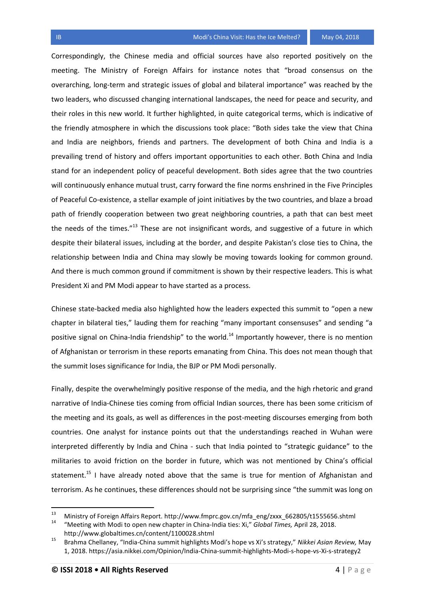## **IB** Modi's China Visit: Has the Ice Melted? May 04, 2018

Correspondingly, the Chinese media and official sources have also reported positively on the meeting. The Ministry of Foreign Affairs for instance notes that "broad consensus on the overarching, long-term and strategic issues of global and bilateral importance" was reached by the two leaders, who discussed changing international landscapes, the need for peace and security, and their roles in this new world. It further highlighted, in quite categorical terms, which is indicative of the friendly atmosphere in which the discussions took place: "Both sides take the view that China and India are neighbors, friends and partners. The development of both China and India is a prevailing trend of history and offers important opportunities to each other. Both China and India stand for an independent policy of peaceful development. Both sides agree that the two countries will continuously enhance mutual trust, carry forward the fine norms enshrined in the Five Principles of Peaceful Co-existence, a stellar example of joint initiatives by the two countries, and blaze a broad path of friendly cooperation between two great neighboring countries, a path that can best meet the needs of the times."<sup>13</sup> These are not insignificant words, and suggestive of a future in which despite their bilateral issues, including at the border, and despite Pakistan's close ties to China, the relationship between India and China may slowly be moving towards looking for common ground. And there is much common ground if commitment is shown by their respective leaders. This is what President Xi and PM Modi appear to have started as a process.

Chinese state-backed media also highlighted how the leaders expected this summit to "open a new chapter in bilateral ties," lauding them for reaching "many important consensuses" and sending "a positive signal on China-India friendship" to the world.<sup>14</sup> Importantly however, there is no mention of Afghanistan or terrorism in these reports emanating from China. This does not mean though that the summit loses significance for India, the BJP or PM Modi personally.

Finally, despite the overwhelmingly positive response of the media, and the high rhetoric and grand narrative of India-Chinese ties coming from official Indian sources, there has been some criticism of the meeting and its goals, as well as differences in the post-meeting discourses emerging from both countries. One analyst for instance points out that the understandings reached in Wuhan were interpreted differently by India and China - such that India pointed to "strategic guidance" to the militaries to avoid friction on the border in future, which was not mentioned by China's official statement.<sup>15</sup> I have already noted above that the same is true for mention of Afghanistan and terrorism. As he continues, these differences should not be surprising since "the summit was long on

l

<sup>&</sup>lt;sup>13</sup> Ministry of Foreign Affairs Report[. http://www.fmprc.gov.cn/mfa\\_eng/zxxx\\_662805/t1555656.shtml](http://www.fmprc.gov.cn/mfa_eng/zxxx_662805/t1555656.shtml)<br><sup>14</sup> "Locating with Madi to angeles way shorter in China India tion Xi" Clabel Times, April 28, 2019

<sup>14</sup> "Meeting with Modi to open new chapter in China-India ties: Xi," *Global Times,* April 28, 2018. <http://www.globaltimes.cn/content/1100028.shtml>

<sup>15</sup> Brahma Chellaney, "India-China summit highlights Modi's hope vs Xi's strategy," *Nikkei Asian Review,* May 1, 2018.<https://asia.nikkei.com/Opinion/India-China-summit-highlights-Modi-s-hope-vs-Xi-s-strategy2>